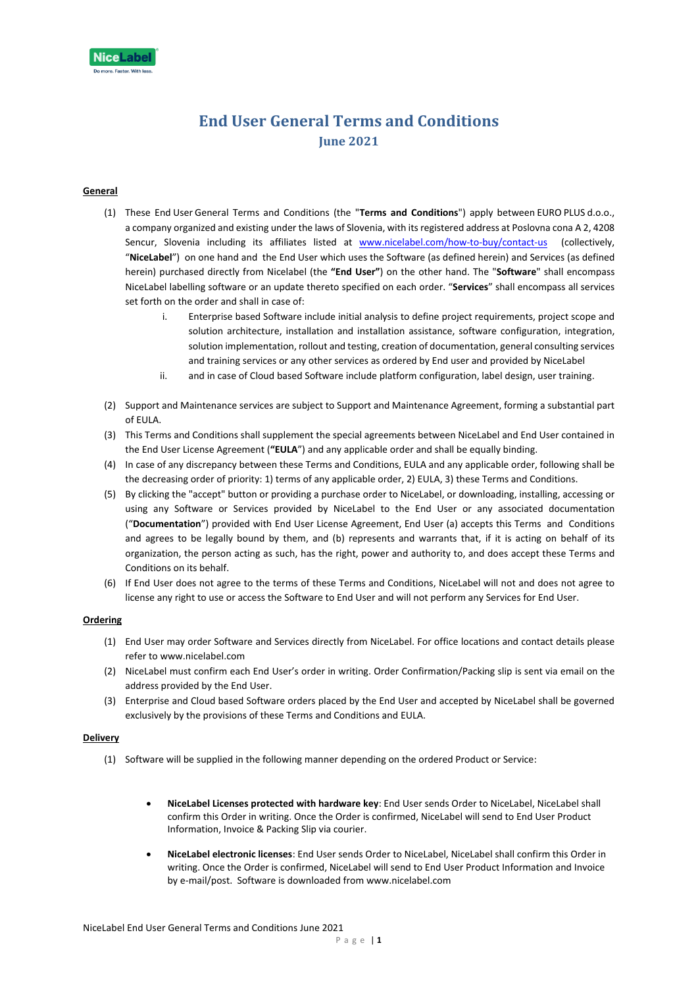

# **End User General Terms and Conditions June 2021**

# **General**

- (1) These End User General Terms and Conditions (the "**Terms and Conditions**") apply between EURO PLUS d.o.o., a company organized and existing under the laws of Slovenia, with its registered address at Poslovna cona A 2, 4208 Sencur, Slovenia including its affiliates listed at [www.nicelabel.com/how-to-buy/contact-us](http://www.nicelabel.com/how-to-buy/contact-us) (collectively, "**NiceLabel**") on one hand and the End User which uses the Software (as defined herein) and Services (as defined herein) purchased directly from Nicelabel (the **"End User"**) on the other hand. The "**Software**" shall encompass NiceLabel labelling software or an update thereto specified on each order. "**Services**" shall encompass all services set forth on the order and shall in case of:
	- i. Enterprise based Software include initial analysis to define project requirements, project scope and solution architecture, installation and installation assistance, software configuration, integration, solution implementation, rollout and testing, creation of documentation, general consulting services and training services or any other services as ordered by End user and provided by NiceLabel
	- ii. and in case of Cloud based Software include platform configuration, label design, user training.
- (2) Support and Maintenance services are subject to Support and Maintenance Agreement, forming a substantial part of EULA.
- (3) This Terms and Conditions shall supplement the special agreements between NiceLabel and End User contained in the End User License Agreement (**"EULA**") and any applicable order and shall be equally binding.
- (4) In case of any discrepancy between these Terms and Conditions, EULA and any applicable order, following shall be the decreasing order of priority: 1) terms of any applicable order, 2) EULA, 3) these Terms and Conditions.
- (5) By clicking the "accept" button or providing a purchase order to NiceLabel, or downloading, installing, accessing or using any Software or Services provided by NiceLabel to the End User or any associated documentation ("**Documentation**") provided with End User License Agreement, End User (a) accepts this Terms and Conditions and agrees to be legally bound by them, and (b) represents and warrants that, if it is acting on behalf of its organization, the person acting as such, has the right, power and authority to, and does accept these Terms and Conditions on its behalf.
- (6) If End User does not agree to the terms of these Terms and Conditions, NiceLabel will not and does not agree to license any right to use or access the Software to End User and will not perform any Services for End User.

#### **Ordering**

- (1) End User may order Software and Services directly from NiceLabel. For office locations and contact details please refer to www.nicelabel.com
- (2) NiceLabel must confirm each End User's order in writing. Order Confirmation/Packing slip is sent via email on the address provided by the End User.
- (3) Enterprise and Cloud based Software orders placed by the End User and accepted by NiceLabel shall be governed exclusively by the provisions of these Terms and Conditions and EULA.

## **Delivery**

- (1) Software will be supplied in the following manner depending on the ordered Product or Service:
	- **NiceLabel Licenses protected with hardware key**: End User sends Order to NiceLabel, NiceLabel shall confirm this Order in writing. Once the Order is confirmed, NiceLabel will send to End User Product Information, Invoice & Packing Slip via courier.
	- **NiceLabel electronic licenses**: End User sends Order to NiceLabel, NiceLabel shall confirm this Order in writing. Once the Order is confirmed, NiceLabel will send to End User Product Information and Invoice by e-mail/post. Software is downloaded fro[m www.nicelabel.com](http://www.nicelabel.com/)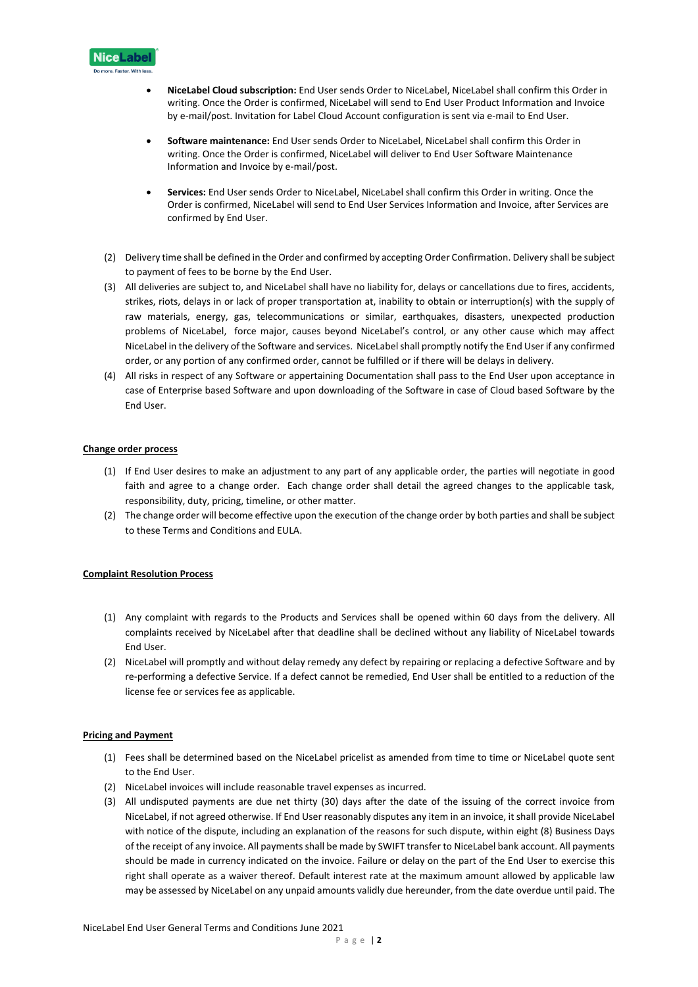

- **NiceLabel Cloud subscription:** End User sends Order to NiceLabel, NiceLabel shall confirm this Order in writing. Once the Order is confirmed, NiceLabel will send to End User Product Information and Invoice by e-mail/post. Invitation for Label Cloud Account configuration is sent via e-mail to End User.
- **Software maintenance:** End User sends Order to NiceLabel, NiceLabel shall confirm this Order in writing. Once the Order is confirmed, NiceLabel will deliver to End User Software Maintenance Information and Invoice by e-mail/post.
- **Services:** End User sends Order to NiceLabel, NiceLabel shall confirm this Order in writing. Once the Order is confirmed, NiceLabel will send to End User Services Information and Invoice, after Services are confirmed by End User.
- (2) Delivery time shall be defined in the Order and confirmed by accepting Order Confirmation. Delivery shall be subject to payment of fees to be borne by the End User.
- (3) All deliveries are subject to, and NiceLabel shall have no liability for, delays or cancellations due to fires, accidents, strikes, riots, delays in or lack of proper transportation at, inability to obtain or interruption(s) with the supply of raw materials, energy, gas, telecommunications or similar, earthquakes, disasters, unexpected production problems of NiceLabel, force major, causes beyond NiceLabel's control, or any other cause which may affect NiceLabel in the delivery of the Software and services. NiceLabelshall promptly notify the End Userif any confirmed order, or any portion of any confirmed order, cannot be fulfilled or if there will be delays in delivery.
- (4) All risks in respect of any Software or appertaining Documentation shall pass to the End User upon acceptance in case of Enterprise based Software and upon downloading of the Software in case of Cloud based Software by the End User.

# **Change order process**

- (1) If End User desires to make an adjustment to any part of any applicable order, the parties will negotiate in good faith and agree to a change order. Each change order shall detail the agreed changes to the applicable task, responsibility, duty, pricing, timeline, or other matter.
- (2) The change order will become effective upon the execution of the change order by both parties and shall be subject to these Terms and Conditions and EULA.

#### **Complaint Resolution Process**

- (1) Any complaint with regards to the Products and Services shall be opened within 60 days from the delivery. All complaints received by NiceLabel after that deadline shall be declined without any liability of NiceLabel towards End User.
- (2) NiceLabel will promptly and without delay remedy any defect by repairing or replacing a defective Software and by re-performing a defective Service. If a defect cannot be remedied, End User shall be entitled to a reduction of the license fee or services fee as applicable.

#### **Pricing and Payment**

- (1) Fees shall be determined based on the NiceLabel pricelist as amended from time to time or NiceLabel quote sent to the End User.
- (2) NiceLabel invoices will include reasonable travel expenses as incurred.
- (3) All undisputed payments are due net thirty (30) days after the date of the issuing of the correct invoice from NiceLabel, if not agreed otherwise. If End User reasonably disputes any item in an invoice, it shall provide NiceLabel with notice of the dispute, including an explanation of the reasons for such dispute, within eight (8) Business Days of the receipt of any invoice. All payments shall be made by SWIFT transfer to NiceLabel bank account. All payments should be made in currency indicated on the invoice. Failure or delay on the part of the End User to exercise this right shall operate as a waiver thereof. Default interest rate at the maximum amount allowed by applicable law may be assessed by NiceLabel on any unpaid amounts validly due hereunder, from the date overdue until paid. The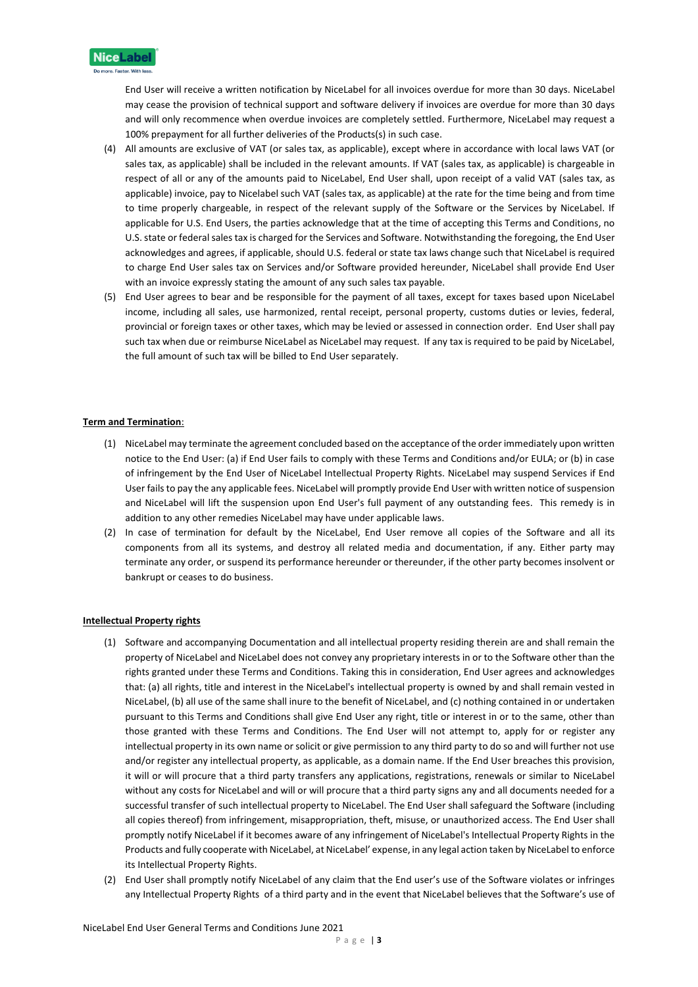

End User will receive a written notification by NiceLabel for all invoices overdue for more than 30 days. NiceLabel may cease the provision of technical support and software delivery if invoices are overdue for more than 30 days and will only recommence when overdue invoices are completely settled. Furthermore, NiceLabel may request a 100% prepayment for all further deliveries of the Products(s) in such case.

- (4) All amounts are exclusive of VAT (or sales tax, as applicable), except where in accordance with local laws VAT (or sales tax, as applicable) shall be included in the relevant amounts. If VAT (sales tax, as applicable) is chargeable in respect of all or any of the amounts paid to NiceLabel, End User shall, upon receipt of a valid VAT (sales tax, as applicable) invoice, pay to Nicelabel such VAT (sales tax, as applicable) at the rate for the time being and from time to time properly chargeable, in respect of the relevant supply of the Software or the Services by NiceLabel. If applicable for U.S. End Users, the parties acknowledge that at the time of accepting this Terms and Conditions, no U.S. state or federal sales tax is charged for the Services and Software. Notwithstanding the foregoing, the End User acknowledges and agrees, if applicable, should U.S. federal or state tax laws change such that NiceLabel is required to charge End User sales tax on Services and/or Software provided hereunder, NiceLabel shall provide End User with an invoice expressly stating the amount of any such sales tax payable.
- (5) End User agrees to bear and be responsible for the payment of all taxes, except for taxes based upon NiceLabel income, including all sales, use harmonized, rental receipt, personal property, customs duties or levies, federal, provincial or foreign taxes or other taxes, which may be levied or assessed in connection order. End User shall pay such tax when due or reimburse NiceLabel as NiceLabel may request. If any tax is required to be paid by NiceLabel, the full amount of such tax will be billed to End User separately.

# **Term and Termination**:

- (1) NiceLabel may terminate the agreement concluded based on the acceptance of the order immediately upon written notice to the End User: (a) if End User fails to comply with these Terms and Conditions and/or EULA; or (b) in case of infringement by the End User of NiceLabel Intellectual Property Rights. NiceLabel may suspend Services if End User fails to pay the any applicable fees. NiceLabel will promptly provide End User with written notice of suspension and NiceLabel will lift the suspension upon End User's full payment of any outstanding fees. This remedy is in addition to any other remedies NiceLabel may have under applicable laws.
- (2) In case of termination for default by the NiceLabel, End User remove all copies of the Software and all its components from all its systems, and destroy all related media and documentation, if any. Either party may terminate any order, or suspend its performance hereunder or thereunder, if the other party becomes insolvent or bankrupt or ceases to do business.

# **Intellectual Property rights**

- (1) Software and accompanying Documentation and all intellectual property residing therein are and shall remain the property of NiceLabel and NiceLabel does not convey any proprietary interests in or to the Software other than the rights granted under these Terms and Conditions. Taking this in consideration, End User agrees and acknowledges that: (a) all rights, title and interest in the NiceLabel's intellectual property is owned by and shall remain vested in NiceLabel, (b) all use of the same shall inure to the benefit of NiceLabel, and (c) nothing contained in or undertaken pursuant to this Terms and Conditions shall give End User any right, title or interest in or to the same, other than those granted with these Terms and Conditions. The End User will not attempt to, apply for or register any intellectual property in its own name or solicit or give permission to any third party to do so and will further not use and/or register any intellectual property, as applicable, as a domain name. If the End User breaches this provision, it will or will procure that a third party transfers any applications, registrations, renewals or similar to NiceLabel without any costs for NiceLabel and will or will procure that a third party signs any and all documents needed for a successful transfer of such intellectual property to NiceLabel. The End User shall safeguard the Software (including all copies thereof) from infringement, misappropriation, theft, misuse, or unauthorized access. The End User shall promptly notify NiceLabel if it becomes aware of any infringement of NiceLabel's Intellectual Property Rights in the Products and fully cooperate with NiceLabel, at NiceLabel' expense, in any legal action taken by NiceLabel to enforce its Intellectual Property Rights.
- (2) End User shall promptly notify NiceLabel of any claim that the End user's use of the Software violates or infringes any Intellectual Property Rights of a third party and in the event that NiceLabel believes that the Software's use of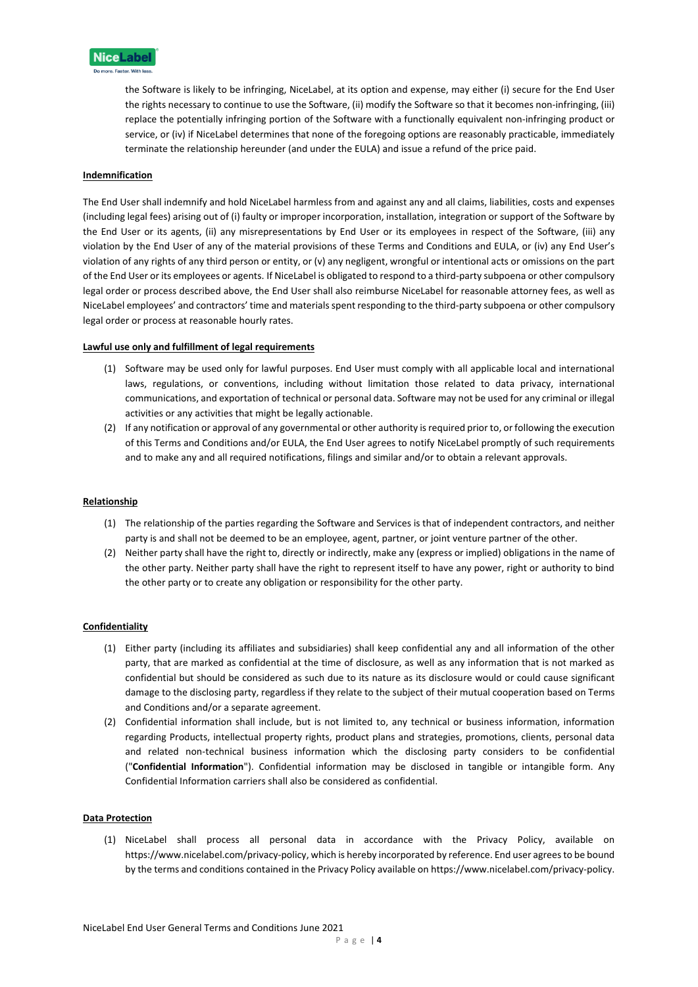

the Software is likely to be infringing, NiceLabel, at its option and expense, may either (i) secure for the End User the rights necessary to continue to use the Software, (ii) modify the Software so that it becomes non-infringing, (iii) replace the potentially infringing portion of the Software with a functionally equivalent non-infringing product or service, or (iv) if NiceLabel determines that none of the foregoing options are reasonably practicable, immediately terminate the relationship hereunder (and under the EULA) and issue a refund of the price paid.

## **Indemnification**

The End User shall indemnify and hold NiceLabel harmless from and against any and all claims, liabilities, costs and expenses (including legal fees) arising out of (i) faulty or improper incorporation, installation, integration or support of the Software by the End User or its agents, (ii) any misrepresentations by End User or its employees in respect of the Software, (iii) any violation by the End User of any of the material provisions of these Terms and Conditions and EULA, or (iv) any End User's violation of any rights of any third person or entity, or (v) any negligent, wrongful or intentional acts or omissions on the part of the End User or its employees or agents. If NiceLabel is obligated to respond to a third-party subpoena or other compulsory legal order or process described above, the End User shall also reimburse NiceLabel for reasonable attorney fees, as well as NiceLabel employees' and contractors' time and materials spent responding to the third-party subpoena or other compulsory legal order or process at reasonable hourly rates.

#### **Lawful use only and fulfillment of legal requirements**

- (1) Software may be used only for lawful purposes. End User must comply with all applicable local and international laws, regulations, or conventions, including without limitation those related to data privacy, international communications, and exportation of technical or personal data. Software may not be used for any criminal or illegal activities or any activities that might be legally actionable.
- (2) If any notification or approval of any governmental or other authority is required prior to, or following the execution of this Terms and Conditions and/or EULA, the End User agrees to notify NiceLabel promptly of such requirements and to make any and all required notifications, filings and similar and/or to obtain a relevant approvals.

# **Relationship**

- (1) The relationship of the parties regarding the Software and Services is that of independent contractors, and neither party is and shall not be deemed to be an employee, agent, partner, or joint venture partner of the other.
- (2) Neither party shall have the right to, directly or indirectly, make any (express or implied) obligations in the name of the other party. Neither party shall have the right to represent itself to have any power, right or authority to bind the other party or to create any obligation or responsibility for the other party.

# **Confidentiality**

- (1) Either party (including its affiliates and subsidiaries) shall keep confidential any and all information of the other party, that are marked as confidential at the time of disclosure, as well as any information that is not marked as confidential but should be considered as such due to its nature as its disclosure would or could cause significant damage to the disclosing party, regardless if they relate to the subject of their mutual cooperation based on Terms and Conditions and/or a separate agreement.
- (2) Confidential information shall include, but is not limited to, any technical or business information, information regarding Products, intellectual property rights, product plans and strategies, promotions, clients, personal data and related non-technical business information which the disclosing party considers to be confidential ("**Confidential Information**"). Confidential information may be disclosed in tangible or intangible form. Any Confidential Information carriers shall also be considered as confidential.

#### **Data Protection**

(1) NiceLabel shall process all personal data in accordance with the Privacy Policy, available on https://www.nicelabel.com/privacy-policy, which is hereby incorporated by reference. End user agrees to be bound by the terms and conditions contained in the Privacy Policy available on https://www.nicelabel.com/privacy-policy.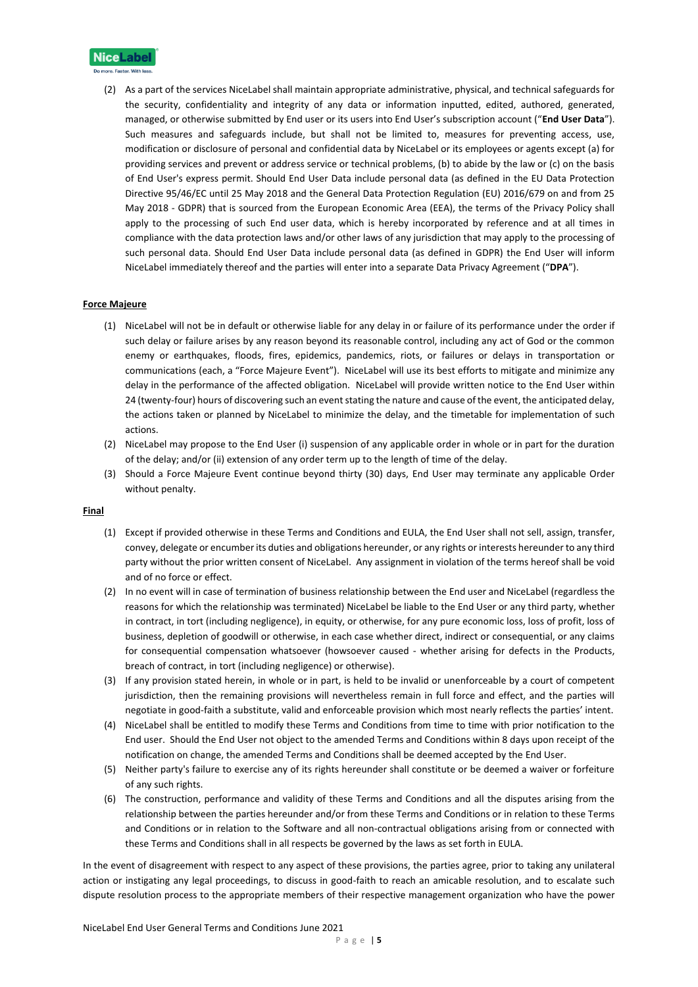

(2) As a part of the services NiceLabel shall maintain appropriate administrative, physical, and technical safeguards for the security, confidentiality and integrity of any data or information inputted, edited, authored, generated, managed, or otherwise submitted by End user or its users into End User's subscription account ("**End User Data**"). Such measures and safeguards include, but shall not be limited to, measures for preventing access, use, modification or disclosure of personal and confidential data by NiceLabel or its employees or agents except (a) for providing services and prevent or address service or technical problems, (b) to abide by the law or (c) on the basis of End User's express permit. Should End User Data include personal data (as defined in the EU Data Protection Directive 95/46/EC until 25 May 2018 and the General Data Protection Regulation (EU) 2016/679 on and from 25 May 2018 - GDPR) that is sourced from the European Economic Area (EEA), the terms of the Privacy Policy shall apply to the processing of such End user data, which is hereby incorporated by reference and at all times in compliance with the data protection laws and/or other laws of any jurisdiction that may apply to the processing of such personal data. Should End User Data include personal data (as defined in GDPR) the End User will inform NiceLabel immediately thereof and the parties will enter into a separate Data Privacy Agreement ("**DPA**").

#### **Force Majeure**

- (1) NiceLabel will not be in default or otherwise liable for any delay in or failure of its performance under the order if such delay or failure arises by any reason beyond its reasonable control, including any act of God or the common enemy or earthquakes, floods, fires, epidemics, pandemics, riots, or failures or delays in transportation or communications (each, a "Force Majeure Event"). NiceLabel will use its best efforts to mitigate and minimize any delay in the performance of the affected obligation. NiceLabel will provide written notice to the End User within 24 (twenty-four) hours of discovering such an event stating the nature and cause of the event, the anticipated delay, the actions taken or planned by NiceLabel to minimize the delay, and the timetable for implementation of such actions.
- (2) NiceLabel may propose to the End User (i) suspension of any applicable order in whole or in part for the duration of the delay; and/or (ii) extension of any order term up to the length of time of the delay.
- (3) Should a Force Majeure Event continue beyond thirty (30) days, End User may terminate any applicable Order without penalty.

#### **Final**

- (1) Except if provided otherwise in these Terms and Conditions and EULA, the End User shall not sell, assign, transfer, convey, delegate or encumber its duties and obligations hereunder, or any rights or interests hereunder to any third party without the prior written consent of NiceLabel. Any assignment in violation of the terms hereof shall be void and of no force or effect.
- (2) In no event will in case of termination of business relationship between the End user and NiceLabel (regardless the reasons for which the relationship was terminated) NiceLabel be liable to the End User or any third party, whether in contract, in tort (including negligence), in equity, or otherwise, for any pure economic loss, loss of profit, loss of business, depletion of goodwill or otherwise, in each case whether direct, indirect or consequential, or any claims for consequential compensation whatsoever (howsoever caused - whether arising for defects in the Products, breach of contract, in tort (including negligence) or otherwise).
- (3) If any provision stated herein, in whole or in part, is held to be invalid or unenforceable by a court of competent jurisdiction, then the remaining provisions will nevertheless remain in full force and effect, and the parties will negotiate in good-faith a substitute, valid and enforceable provision which most nearly reflects the parties' intent.
- (4) NiceLabel shall be entitled to modify these Terms and Conditions from time to time with prior notification to the End user. Should the End User not object to the amended Terms and Conditions within 8 days upon receipt of the notification on change, the amended Terms and Conditions shall be deemed accepted by the End User.
- (5) Neither party's failure to exercise any of its rights hereunder shall constitute or be deemed a waiver or forfeiture of any such rights.
- (6) The construction, performance and validity of these Terms and Conditions and all the disputes arising from the relationship between the parties hereunder and/or from these Terms and Conditions or in relation to these Terms and Conditions or in relation to the Software and all non-contractual obligations arising from or connected with these Terms and Conditions shall in all respects be governed by the laws as set forth in EULA.

In the event of disagreement with respect to any aspect of these provisions, the parties agree, prior to taking any unilateral action or instigating any legal proceedings, to discuss in good-faith to reach an amicable resolution, and to escalate such dispute resolution process to the appropriate members of their respective management organization who have the power